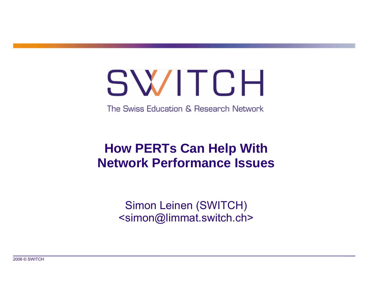# SWITCH

The Swiss Education & Research Network

### **How PERTs Can Help With Network Performance Issues**

Simon Leinen (SWITCH) <simon@limmat.switch.ch>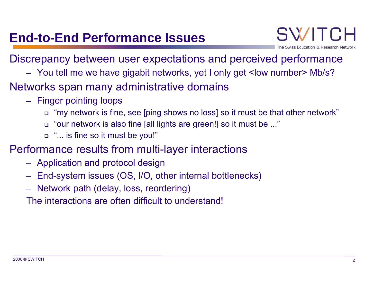### Discrepancy between user expectations and perceived performance

- $\mathcal{L}_{\mathcal{A}}$ You tell me we have gigabit networks, yet I only get <low number> Mb/s?
- Networks span many administrative domains
	- $\mathcal{L}_{\mathcal{A}}$ – Finger pointing loops
		- "my network is fine, see [ping shows no loss] so it must be that other network"
		- "our network is also fine [all lights are green!] so it must be ..."
		- "... is fine so it must be you!"
- Performance results from multi-layer interactions
	- $\mathcal{L}_{\mathcal{A}}$ Application and protocol design
	- $\mathcal{L}_{\mathcal{A}}$  $-$  End-system issues (OS, I/O, other internal bottlenecks)
	- $\mathcal{L}_{\mathcal{A}}$ Network path (delay, loss, reordering)

The interactions are often difficult to understand!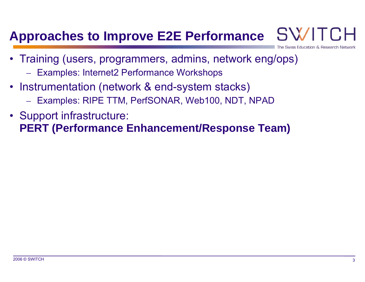### **Approaches to Improve E2E Performance**

- Swiss Education & Research Ne
- Training (users, programmers, admins, network eng/ops)
	- Examples: Internet2 Performance Workshops
- Instrumentation (network & end-system stacks)
	- Examples: RIPE TTM, PerfSONAR, Web100, NDT, NPAD
- Support infrastructure: **PERT (Performance Enhancement/Response Team)**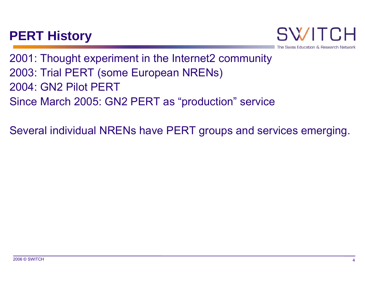### **PERT History**

SWF Swiss Education & Research Net

2001: Thought experiment in the Internet2 community 2003: Trial PERT (some European NRENs) 2004: GN2 Pilot PERTSince March 2005: GN2 PERT as "production" service

Several individual NRENs have PERT groups and services emerging.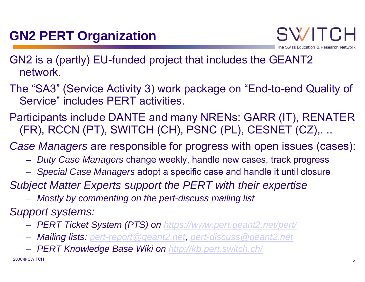- GN2 is a (partly) EU-funded project that includes the GEANT2 network.
- The "SA3" (Service Activity 3) work package on "End-to-end Quality of Service" includes PERT activities.
- Participants include DANTE and many NRENs: GARR (IT), RENATER (FR), RCCN (PT), SWITCH (CH), PSNC (PL), CESNET (CZ),. ..
- *Case Managers* are responsible for progress with open issues (cases):
	- $\mathcal{L}_{\mathcal{A}}$ *Duty Case Managers* change weekly, handle new cases, track progress
	- –*Special Case Managers* adopt a specific case and handle it until closure
- *Subject Matter Experts support the PERT with their expertise*
	- $\mathcal{L}_{\mathcal{A}}$ *Mostly by commenting on the pert-discuss mailing list*
- *Support systems:*
	- $\mathcal{L}_{\mathcal{A}}$ *PERT Ticket System (PTS) on <https://www.pert.geant2.net/pert/>*
	- $\mathcal{L}_{\mathcal{A}}$ *Mailing lists: [pert-report@geant2.net](mailto:pert-report@geant2.net), [pert-discuss@geant2.net](mailto:pert-discuss@geant2.net)*
	- $\mathcal{L}_{\mathcal{A}}$ *PERT Knowledge Base Wiki on<http://kb.pert.switch.ch/>*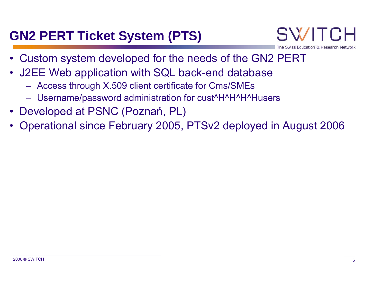### **GN2 PERT Ticket System (PTS)**

- •Custom system developed for the needs of the GN2 PERT
- J2EE Web application with SQL back-end database
	- $\mathcal{L}_{\mathcal{A}}$ Access through X.509 client certificate for Cms/SMEs
	- Username/password administration for cust^H^H^H^Husers
- Developed at PSNC (Poznań, PL)
- •Operational since February 2005, PTSv2 deployed in August 2006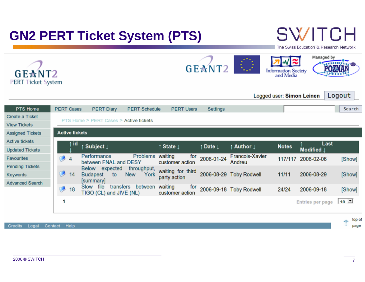### **GN2 PERT Ticket System (PTS)**

# **SWITCH**

The Swiss Education & Research Network





|                         |                                        |                |                                      |                      |                                   |                              |                                  | Logged user: Simon Leinen |                    |      | Logout         |  |
|-------------------------|----------------------------------------|----------------|--------------------------------------|----------------------|-----------------------------------|------------------------------|----------------------------------|---------------------------|--------------------|------|----------------|--|
| PTS Home                | <b>PERT Cases</b>                      |                | <b>PERT Diary</b>                    | <b>PERT Schedule</b> | <b>PERT Users</b>                 | Settings                     |                                  |                           |                    |      | Search         |  |
| Create a Ticket         |                                        |                |                                      |                      |                                   |                              |                                  |                           |                    |      |                |  |
| <b>View Tickets</b>     | PTS Home > PERT Cases > Active tickets |                |                                      |                      |                                   |                              |                                  |                           |                    |      |                |  |
| <b>Assigned Tickets</b> | <b>Active tickets</b>                  |                |                                      |                      |                                   |                              |                                  |                           |                    |      |                |  |
| Active tickets          |                                        | ↑ id           |                                      |                      |                                   |                              |                                  |                           |                    | Last |                |  |
| <b>Updated Tickets</b>  |                                        |                | ↑ Subject ↓                          |                      | State 1                           | $\uparrow$ Date $\downarrow$ | ↑ Author 1                       | <b>Notes</b>              | Modified           |      |                |  |
| <b>Favourites</b>       |                                        | $\overline{4}$ | Performance<br>between FNAL and DESY | Problems             | waiting<br>for<br>customer action | 2006-01-24                   | <b>Francois-Xavier</b><br>Andreu |                           | 117/117 2006-02-06 |      | [Show]         |  |
| <b>Pending Tickets</b>  |                                        |                | Below<br>expected<br>throughput,     |                      |                                   |                              |                                  |                           |                    |      |                |  |
| Keywords                |                                        | 14             | <b>Budapest</b><br>to                | York<br><b>New</b>   | waiting for third<br>party action |                              | 2006-08-29 Toby Rodwell          | 11/11                     | 2006-08-29         |      | [Show]         |  |
| <b>Advanced Search</b>  |                                        | 18             | [summary]<br>transfers<br>Slow file  | between              |                                   |                              |                                  |                           |                    |      |                |  |
|                         |                                        |                | TIGO (CL) and JIVE (NL)              |                      | waiting<br>for<br>customer action |                              | 2006-09-18 Toby Rodwell          | 24/24                     | 2006-09-18         |      | [Show]         |  |
|                         | 1                                      |                |                                      |                      |                                   |                              |                                  |                           | Entries per page   |      | $10 \ \square$ |  |
|                         |                                        |                |                                      |                      |                                   |                              |                                  |                           |                    |      |                |  |

Credits Legal Contact Help

top of Ť page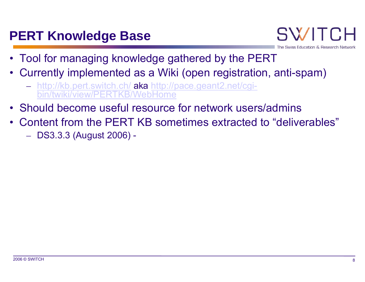### **PERT Knowledge Base**

- SWIT iss Education & Research Net
- Tool for managing knowledge gathered by the PERT
- Currently implemented as a Wiki (open registration, anti-spam)
	- $\mathcal{L}_{\mathcal{A}}$  <http://kb.pert.switch.ch/> [aka http://pace.geant2.net/cgi](http://pace.geant2.net/cgi-bin/twiki/view/PERTKB/WebHome)[bin/twiki/view/PERTKB/WebHome](http://pace.geant2.net/cgi-bin/twiki/view/PERTKB/WebHome)
- Should become useful resource for network users/admins
- Content from the PERT KB sometimes extracted to "deliverables"
	- $\mathcal{L}_{\mathcal{A}}$ DS3.3.3 (August 2006) -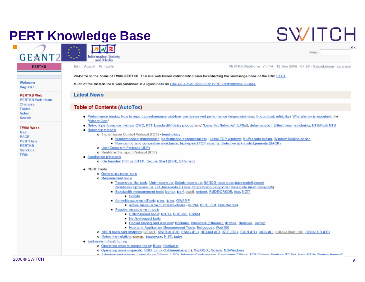### **PERT Knowledge Base**

# **SWITCH**

Jump:



**PERTKB** 

**Information Society** and Media

Edit Attach Printable

PERTKB.WebHome r1.114 - 12 Sep 2006 - 07:56 - SimonLeinen topic end

Welcome to the home of TWiki.PERTKB. This is a web-based collaboration area for collecting the knowledge base of the GN2 PERT.

Welcome Register

**PERTKB Web** 

PERTKR Web Home Changes Topics Index Search

**TWiki Wabs** 

Main **PACE** PERTDiary **PERTKB** Sandbox TWiki

Much of the material here was published in August 2006 as GN2-06-135v2 (DS3.3.3); PERT Performance Guides.

#### **Latest News**

#### **Table of Contents (AutoToc)**

- . Performance basics: How to report a performance problem, user-perceived performance (responsiveness, throughput, reliability), Why latency is important, the **Wizard Gap**
- . Network performance metrics: OWD, RTT (pandwidth\*delay product and \*Long Fat Networks\* (LFNs)), delay varation (Jitter), loss, reordering, MTU/Path MTU
- · Network protocols
	- o Transmission Control Protocol (TCP) terminology
		- Window based transmission, performance enhancements Large TCP windows, buffer auto-tuning, Window Scaling option
		- Flow control and congestion avoidance, high-speed TCP variants. Selective acknowledgements (SACK)
	- o User Datagram Protocol (UDP)
	- o Real-time Transport Protocol (RTP)

#### • Application protocols

o File transfer: FTP vs. HTTP, Secure Shell (SSH), BitTorrent

#### $\bullet$  PERT Tools

- o General-purpose tools
- o Measurement tools
	- Traceroute-like tools (Unix traceroute, Solaris traceroute, NANOG traceroute, traceroute6, tracert (Windows), toptrace route, LFT, traceproto, ET race, mtr.pathping,pingplotter, trace route\_mesh, tracepath)
	- Bandwidth measurement tools (pchar, perf, bwctl, netperf, RUDE/CRUDE, ttcp, NDT)
		- $S$ cripts
	- Active Measurement Tools: ping, fping, OWAMP
		- Active measurement infrastructures (IPPM, RIPE TTM, QoSMetrics)
	- Passive measurement tools
		- SNMP based tools: MRTG, RRDTool, Cricket
		- Netflow-based tools
		- Packet tracing and analysis: tcpdump, Wireshark (Ethereal), libtrace, Netdude, jnettop
		- Host and Application Measurement Tools: NetLogger, Web100
- o NREN tools and statistics: GÉANT, SWITCH (CH), PSNC (PL), HEAnet (IE), ISTF (BG), FCCN (PT), IUCC (IL), HUNGARnet (HU), RENATER (FR)
- o Network emulation: netern, dummynet, NIST, hxbt
- End-system (host) tuning
	- o Operating system independent: Bugs, Hardware
	- o Operating system specific: BSD, Linux (TxQueueLength), MacOS/X, Solaris, MS-Windows
	- o. Adopters and drivers: Lame Send Offbod /LSO). Internut Coolescence. Checksum Offbod. TCP Offbod Engines (TOEs). Iame MTHs ("jumbo frames").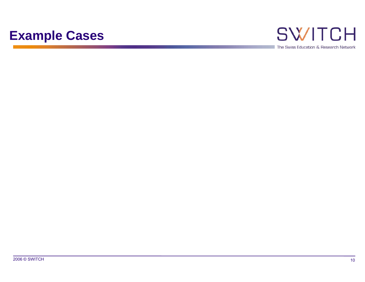### **Example Cases**

## **SWITCH**

The Swiss Education & Research Network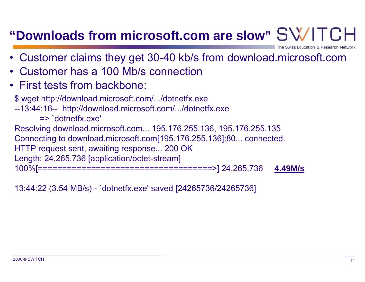### **"Downloads from microsoft.com are slow"**

- Customer claims they get 30-40 kb/s from download.microsoft.com
- •Customer has a 100 Mb/s connection
- First tests from backbone:

\$ wget http://download.microsoft.com/.../dotnetfx.exe --13:44:16-- http://download.microsoft.com/.../dotnetfx.exe => `dotnetfx.exe' Resolving download.microsoft.com... 195.176.255.136, 195.176.255.135 Connecting to download.microsoft.com[195.176.255.136]:80... connected. HTTP request sent, awaiting response... 200 OK Length: 24,265,736 [application/octet-stream] 100%[====================================>] 24,265,736 **4.49M/s**

13:44:22 (3.54 MB/s) - `dotnetfx.exe' saved [24265736/24265736]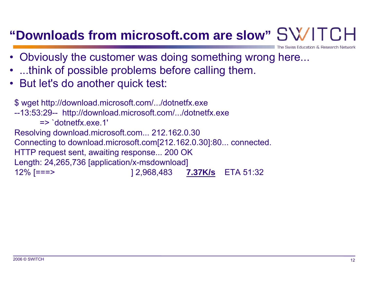### **"Downloads from microsoft.com are slow"**

- Obviously the customer was doing something wrong here...
- •...think of possible problems before calling them.
- But let's do another quick test:

\$ wget http://download.microsoft.com/.../dotnetfx.exe --13:53:29-- http://download.microsoft.com/.../dotnetfx.exe => `dotnetfx.exe.1' Resolving download.microsoft.com... 212.162.0.30 Connecting to download.microsoft.com[212.162.0.30]:80... connected. HTTP request sent, awaiting response... 200 OK Length: 24,265,736 [application/x-msdownload] 12% [===> ] 2,968,483 **7.37K/s** ETA 51:32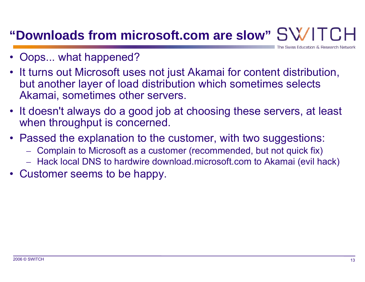### **"Downloads from microsoft.com are slow"**

Swiss Education & Research Ne

- •Oops... what happened?
- It turns out Microsoft uses not just Akamai for content distribution, but another layer of load distribution which sometimes selects Akamai, sometimes other servers.
- It doesn't always do a good job at choosing these servers, at least when throughput is concerned.
- Passed the explanation to the customer, with two suggestions:
	- $\mathcal{L}_{\mathcal{A}}$ Complain to Microsoft as a customer (recommended, but not quick fix)
	- – $-$  Hack local DNS to hardwire download.microsoft.com to Akamai (evil hack)
- Customer seems to be happy.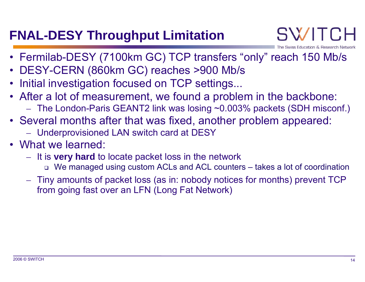### **FNAL-DESY Throughput Limitation**

- Fermilab-DESY (7100km GC) TCP transfers "only" reach 150 Mb/s
- DESY-CERN (860km GC) reaches >900 Mb/s
- •Initial investigation focused on TCP settings...
- After a lot of measurement, we found a problem in the backbone:
	- $\mathcal{L}_{\mathcal{A}}$ The London-Paris GEANT2 link was losing ~0.003% packets (SDH misconf.)
- Several months after that was fixed, another problem appeared:
	- Underprovisioned LAN switch card at DESY
- What we learned:
	- $\mathcal{L}_{\mathcal{A}}$ – It is **very hard** to locate packet loss in the network
		- We managed using custom ACLs and ACL counters takes a lot of coordination
	- $\mathcal{L}_{\mathcal{A}}$  Tiny amounts of packet loss (as in: nobody notices for months) prevent TCP from going fast over an LFN (Long Fat Network)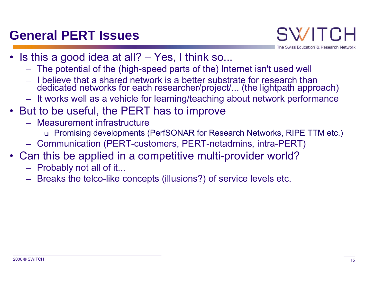### **General PERT Issues**

Swiss Education & Research Network

- Is this a good idea at all? Yes, I think so...
	- –The potential of the (high-speed parts of the) Internet isn't used well
	- I believe that a shared network is a better substrate for research than dedicated networks for each researcher/project/... (the lightpath approach)
	- – $-$  It works well as a vehicle for learning/teaching about network performance
- But to be useful, the PERT has to improve
	- Measurement infrastructure
		- Promising developments (PerfSONAR for Research Networks, RIPE TTM etc.)
	- $\mathcal{L}_{\mathcal{A}}$ Communication (PERT-customers, PERT-netadmins, intra-PERT)
- Can this be applied in a competitive multi-provider world?
	- $\mathcal{L}_{\mathcal{A}}$  $-$  Probably not all of it...
	- $\mathcal{L}_{\mathcal{A}}$ Breaks the telco-like concepts (illusions?) of service levels etc.